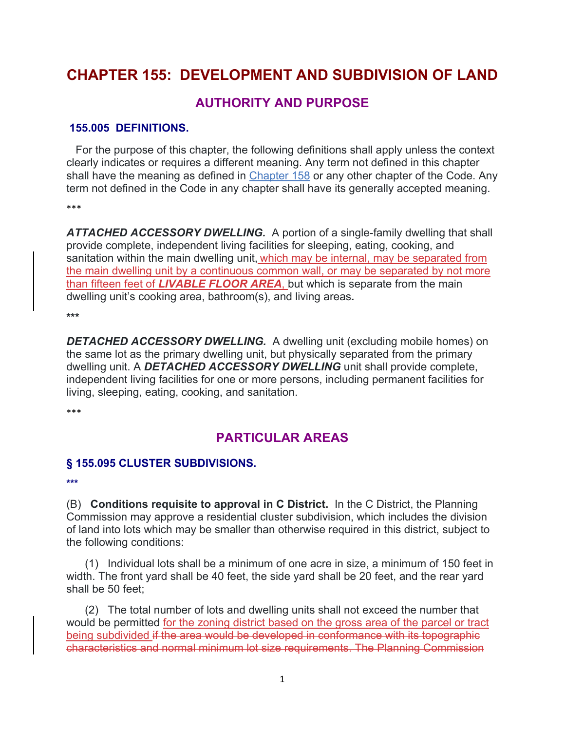# **CHAPTER 155: DEVELOPMENT AND SUBDIVISION OF LAND**

### **AUTHORITY AND PURPOSE**

#### **155.005 DEFINITIONS.**

 For the purpose of this chapter, the following definitions shall apply unless the context clearly indicates or requires a different meaning. Any term not defined in this chapter shall have the meaning as defined in Chapter 158 or any other chapter of the Code. Any term not defined in the Code in any chapter shall have its generally accepted meaning.

\*\*\*

*ATTACHED ACCESSORY DWELLING.* A portion of a single-family dwelling that shall provide complete, independent living facilities for sleeping, eating, cooking, and sanitation within the main dwelling unit, which may be internal, may be separated from the main dwelling unit by a continuous common wall, or may be separated by not more than fifteen feet of *LIVABLE FLOOR AREA*, but which is separate from the main dwelling unit's cooking area, bathroom(s), and living areas*.*

**\*\*\*** 

**DETACHED ACCESSORY DWELLING.** A dwelling unit (excluding mobile homes) on the same lot as the primary dwelling unit, but physically separated from the primary dwelling unit. A *DETACHED ACCESSORY DWELLING* unit shall provide complete, independent living facilities for one or more persons, including permanent facilities for living, sleeping, eating, cooking, and sanitation.

\*\*\*

## **PARTICULAR AREAS**

### **§ 155.095 CLUSTER SUBDIVISIONS.**

**\*\*\*** 

(B) **Conditions requisite to approval in C District.** In the C District, the Planning Commission may approve a residential cluster subdivision, which includes the division of land into lots which may be smaller than otherwise required in this district, subject to the following conditions:

 (1) Individual lots shall be a minimum of one acre in size, a minimum of 150 feet in width. The front yard shall be 40 feet, the side yard shall be 20 feet, and the rear yard shall be 50 feet;

 (2) The total number of lots and dwelling units shall not exceed the number that would be permitted for the zoning district based on the gross area of the parcel or tract being subdivided if the area would be developed in conformance with its topographic characteristics and normal minimum lot size requirements. The Planning Commission